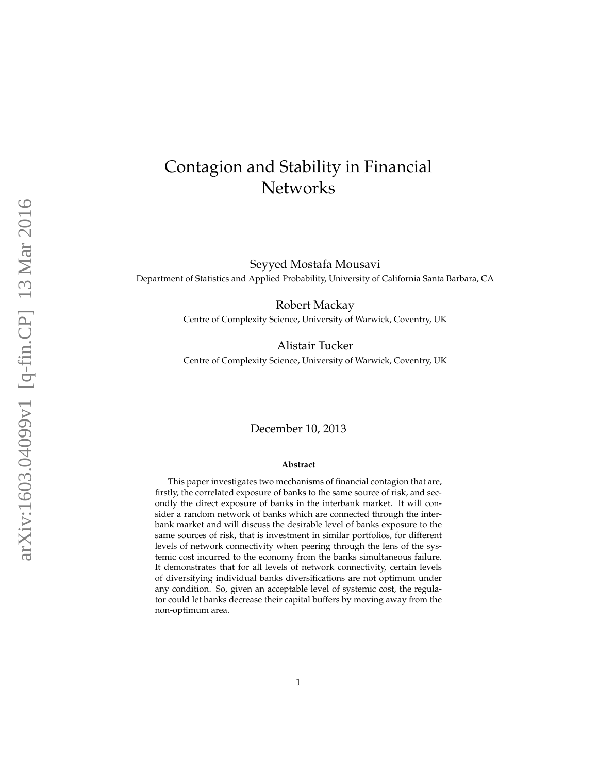# Contagion and Stability in Financial **Networks**

Seyyed Mostafa Mousavi Department of Statistics and Applied Probability, University of California Santa Barbara, CA

Robert Mackay

Centre of Complexity Science, University of Warwick, Coventry, UK

Alistair Tucker Centre of Complexity Science, University of Warwick, Coventry, UK

#### December 10, 2013

#### **Abstract**

This paper investigates two mechanisms of financial contagion that are, firstly, the correlated exposure of banks to the same source of risk, and secondly the direct exposure of banks in the interbank market. It will consider a random network of banks which are connected through the interbank market and will discuss the desirable level of banks exposure to the same sources of risk, that is investment in similar portfolios, for different levels of network connectivity when peering through the lens of the systemic cost incurred to the economy from the banks simultaneous failure. It demonstrates that for all levels of network connectivity, certain levels of diversifying individual banks diversifications are not optimum under any condition. So, given an acceptable level of systemic cost, the regulator could let banks decrease their capital buffers by moving away from the non-optimum area.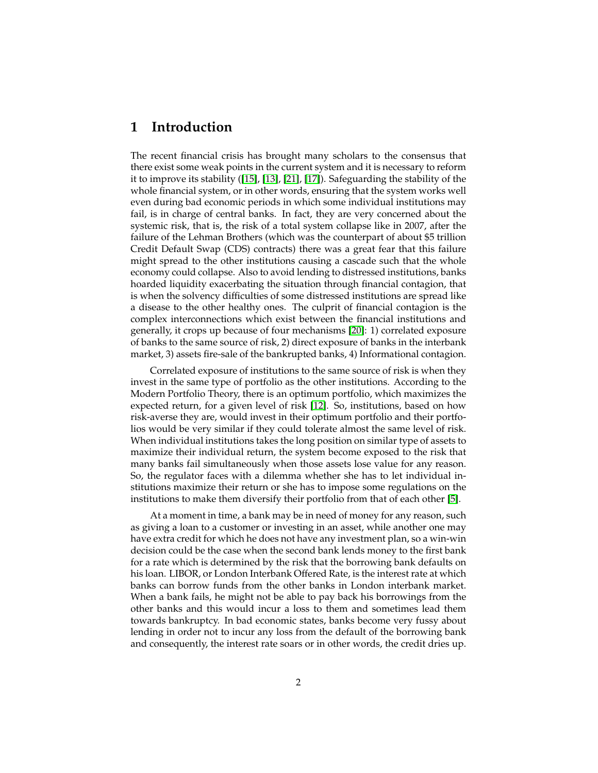### **1 Introduction**

The recent financial crisis has brought many scholars to the consensus that there exist some weak points in the current system and it is necessary to reform it to improve its stability ([\[15\]](#page-13-0), [\[13\]](#page-13-1), [\[21\]](#page-13-2), [\[17\]](#page-13-3)). Safeguarding the stability of the whole financial system, or in other words, ensuring that the system works well even during bad economic periods in which some individual institutions may fail, is in charge of central banks. In fact, they are very concerned about the systemic risk, that is, the risk of a total system collapse like in 2007, after the failure of the Lehman Brothers (which was the counterpart of about \$5 trillion Credit Default Swap (CDS) contracts) there was a great fear that this failure might spread to the other institutions causing a cascade such that the whole economy could collapse. Also to avoid lending to distressed institutions, banks hoarded liquidity exacerbating the situation through financial contagion, that is when the solvency difficulties of some distressed institutions are spread like a disease to the other healthy ones. The culprit of financial contagion is the complex interconnections which exist between the financial institutions and generally, it crops up because of four mechanisms [\[20\]](#page-13-4): 1) correlated exposure of banks to the same source of risk, 2) direct exposure of banks in the interbank market, 3) assets fire-sale of the bankrupted banks, 4) Informational contagion.

Correlated exposure of institutions to the same source of risk is when they invest in the same type of portfolio as the other institutions. According to the Modern Portfolio Theory, there is an optimum portfolio, which maximizes the expected return, for a given level of risk [\[12\]](#page-13-5). So, institutions, based on how risk-averse they are, would invest in their optimum portfolio and their portfolios would be very similar if they could tolerate almost the same level of risk. When individual institutions takes the long position on similar type of assets to maximize their individual return, the system become exposed to the risk that many banks fail simultaneously when those assets lose value for any reason. So, the regulator faces with a dilemma whether she has to let individual institutions maximize their return or she has to impose some regulations on the institutions to make them diversify their portfolio from that of each other [\[5\]](#page-12-0).

At a moment in time, a bank may be in need of money for any reason, such as giving a loan to a customer or investing in an asset, while another one may have extra credit for which he does not have any investment plan, so a win-win decision could be the case when the second bank lends money to the first bank for a rate which is determined by the risk that the borrowing bank defaults on his loan. LIBOR, or London Interbank Offered Rate, is the interest rate at which banks can borrow funds from the other banks in London interbank market. When a bank fails, he might not be able to pay back his borrowings from the other banks and this would incur a loss to them and sometimes lead them towards bankruptcy. In bad economic states, banks become very fussy about lending in order not to incur any loss from the default of the borrowing bank and consequently, the interest rate soars or in other words, the credit dries up.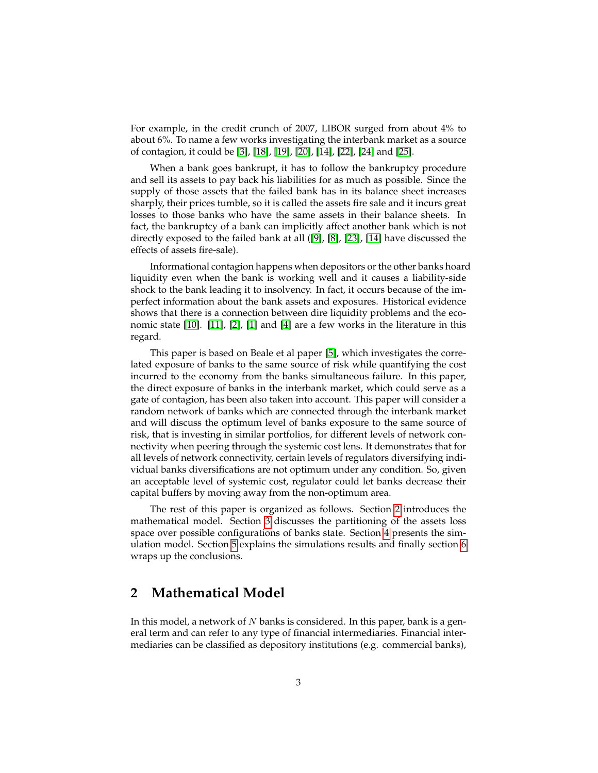For example, in the credit crunch of 2007, LIBOR surged from about 4% to about 6%. To name a few works investigating the interbank market as a source of contagion, it could be [\[3\]](#page-12-1), [\[18\]](#page-13-6), [\[19\]](#page-13-7), [\[20\]](#page-13-4), [\[14\]](#page-13-8), [\[22\]](#page-14-0), [\[24\]](#page-14-1) and [\[25\]](#page-14-2).

When a bank goes bankrupt, it has to follow the bankruptcy procedure and sell its assets to pay back his liabilities for as much as possible. Since the supply of those assets that the failed bank has in its balance sheet increases sharply, their prices tumble, so it is called the assets fire sale and it incurs great losses to those banks who have the same assets in their balance sheets. In fact, the bankruptcy of a bank can implicitly affect another bank which is not directly exposed to the failed bank at all ([\[9\]](#page-13-9), [\[8\]](#page-13-10), [\[23\]](#page-14-3), [\[14\]](#page-13-8) have discussed the effects of assets fire-sale).

Informational contagion happens when depositors or the other banks hoard liquidity even when the bank is working well and it causes a liability-side shock to the bank leading it to insolvency. In fact, it occurs because of the imperfect information about the bank assets and exposures. Historical evidence shows that there is a connection between dire liquidity problems and the economic state [\[10\]](#page-13-11). [\[11\]](#page-13-12), [\[2\]](#page-12-2), [\[1\]](#page-12-3) and [\[4\]](#page-12-4) are a few works in the literature in this regard.

This paper is based on Beale et al paper [\[5\]](#page-12-0), which investigates the correlated exposure of banks to the same source of risk while quantifying the cost incurred to the economy from the banks simultaneous failure. In this paper, the direct exposure of banks in the interbank market, which could serve as a gate of contagion, has been also taken into account. This paper will consider a random network of banks which are connected through the interbank market and will discuss the optimum level of banks exposure to the same source of risk, that is investing in similar portfolios, for different levels of network connectivity when peering through the systemic cost lens. It demonstrates that for all levels of network connectivity, certain levels of regulators diversifying individual banks diversifications are not optimum under any condition. So, given an acceptable level of systemic cost, regulator could let banks decrease their capital buffers by moving away from the non-optimum area.

The rest of this paper is organized as follows. Section [2](#page-2-0) introduces the mathematical model. Section [3](#page-4-0) discusses the partitioning of the assets loss space over possible configurations of banks state. Section [4](#page-6-0) presents the simulation model. Section [5](#page-9-0) explains the simulations results and finally section [6](#page-12-5) wraps up the conclusions.

### <span id="page-2-0"></span>**2 Mathematical Model**

In this model, a network of  $N$  banks is considered. In this paper, bank is a general term and can refer to any type of financial intermediaries. Financial intermediaries can be classified as depository institutions (e.g. commercial banks),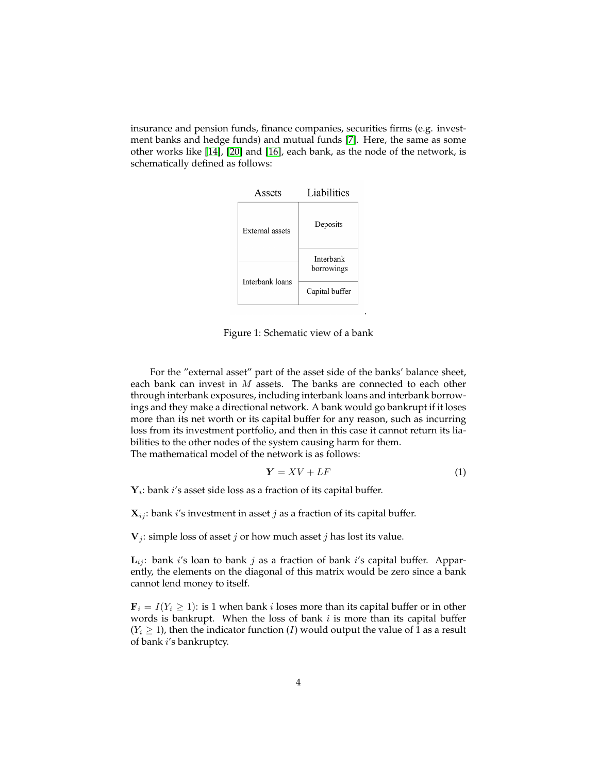insurance and pension funds, finance companies, securities firms (e.g. investment banks and hedge funds) and mutual funds [\[7\]](#page-13-13). Here, the same as some other works like [\[14\]](#page-13-8), [\[20\]](#page-13-4) and [\[16\]](#page-13-14), each bank, as the node of the network, is schematically defined as follows:



Figure 1: Schematic view of a bank

For the "external asset" part of the asset side of the banks' balance sheet, each bank can invest in  $M$  assets. The banks are connected to each other through interbank exposures, including interbank loans and interbank borrowings and they make a directional network. A bank would go bankrupt if it loses more than its net worth or its capital buffer for any reason, such as incurring loss from its investment portfolio, and then in this case it cannot return its liabilities to the other nodes of the system causing harm for them.

The mathematical model of the network is as follows:

$$
Y = XV + LF \tag{1}
$$

 $Y_i$ : bank  $i$ 's asset side loss as a fraction of its capital buffer.

 $\mathbf{X}_{ij}$ : bank *i*'s investment in asset *j* as a fraction of its capital buffer.

 $V_i$ : simple loss of asset *j* or how much asset *j* has lost its value.

 $L_{ii}$ : bank i's loan to bank j as a fraction of bank i's capital buffer. Apparently, the elements on the diagonal of this matrix would be zero since a bank cannot lend money to itself.

 $\mathbf{F}_i = I(Y_i \geq 1)$ : is 1 when bank *i* loses more than its capital buffer or in other words is bankrupt. When the loss of bank  $i$  is more than its capital buffer  $(Y_i \geq 1)$ , then the indicator function (*I*) would output the value of 1 as a result of bank i's bankruptcy.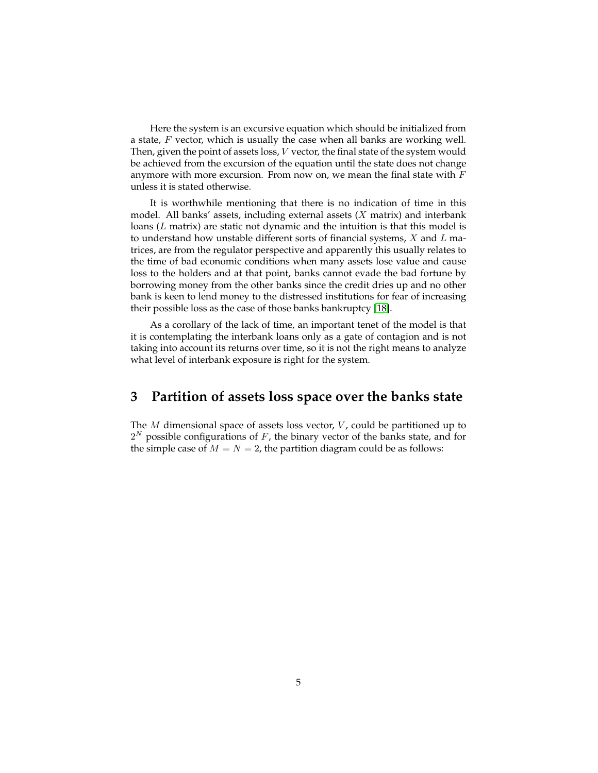Here the system is an excursive equation which should be initialized from a state,  $F$  vector, which is usually the case when all banks are working well. Then, given the point of assets loss, V vector, the final state of the system would be achieved from the excursion of the equation until the state does not change anymore with more excursion. From now on, we mean the final state with  $F$ unless it is stated otherwise.

It is worthwhile mentioning that there is no indication of time in this model. All banks' assets, including external assets  $(X \text{ matrix})$  and interbank loans (L matrix) are static not dynamic and the intuition is that this model is to understand how unstable different sorts of financial systems,  $X$  and  $L$  matrices, are from the regulator perspective and apparently this usually relates to the time of bad economic conditions when many assets lose value and cause loss to the holders and at that point, banks cannot evade the bad fortune by borrowing money from the other banks since the credit dries up and no other bank is keen to lend money to the distressed institutions for fear of increasing their possible loss as the case of those banks bankruptcy [\[18\]](#page-13-6).

As a corollary of the lack of time, an important tenet of the model is that it is contemplating the interbank loans only as a gate of contagion and is not taking into account its returns over time, so it is not the right means to analyze what level of interbank exposure is right for the system.

### <span id="page-4-0"></span>**3 Partition of assets loss space over the banks state**

The  $M$  dimensional space of assets loss vector,  $V$ , could be partitioned up to  $2^N$  possible configurations of F, the binary vector of the banks state, and for the simple case of  $M = N = 2$ , the partition diagram could be as follows: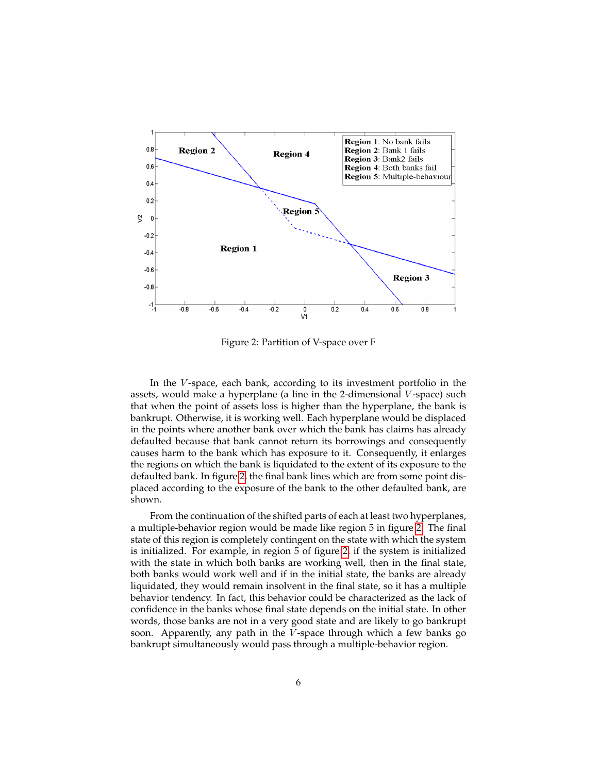

<span id="page-5-0"></span>Figure 2: Partition of V-space over F

In the V-space, each bank, according to its investment portfolio in the assets, would make a hyperplane (a line in the 2-dimensional  $V$ -space) such that when the point of assets loss is higher than the hyperplane, the bank is bankrupt. Otherwise, it is working well. Each hyperplane would be displaced in the points where another bank over which the bank has claims has already defaulted because that bank cannot return its borrowings and consequently causes harm to the bank which has exposure to it. Consequently, it enlarges the regions on which the bank is liquidated to the extent of its exposure to the defaulted bank. In figure [2,](#page-5-0) the final bank lines which are from some point displaced according to the exposure of the bank to the other defaulted bank, are shown.

From the continuation of the shifted parts of each at least two hyperplanes, a multiple-behavior region would be made like region 5 in figure [2.](#page-5-0) The final state of this region is completely contingent on the state with which the system is initialized. For example, in region 5 of figure [2,](#page-5-0) if the system is initialized with the state in which both banks are working well, then in the final state, both banks would work well and if in the initial state, the banks are already liquidated, they would remain insolvent in the final state, so it has a multiple behavior tendency. In fact, this behavior could be characterized as the lack of confidence in the banks whose final state depends on the initial state. In other words, those banks are not in a very good state and are likely to go bankrupt soon. Apparently, any path in the V-space through which a few banks go bankrupt simultaneously would pass through a multiple-behavior region.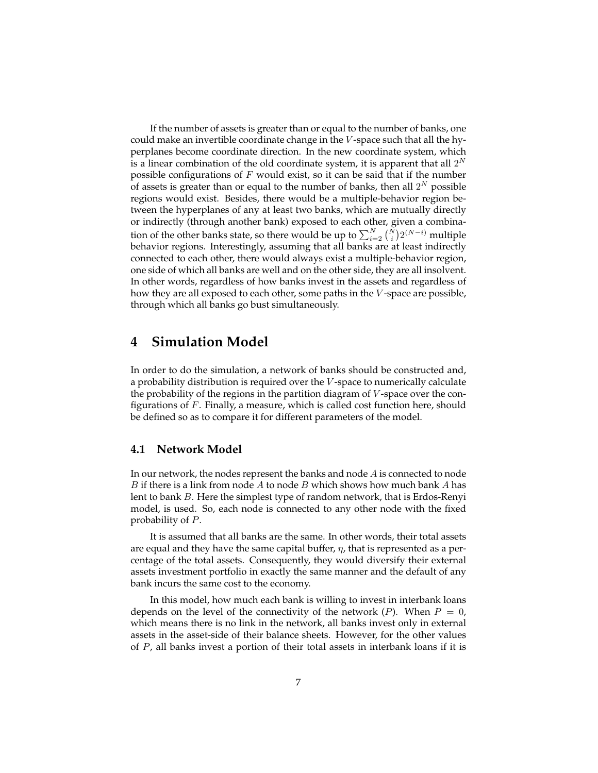If the number of assets is greater than or equal to the number of banks, one could make an invertible coordinate change in the  $V$ -space such that all the hyperplanes become coordinate direction. In the new coordinate system, which is a linear combination of the old coordinate system, it is apparent that all  $2^N$ possible configurations of  $F$  would exist, so it can be said that if the number of assets is greater than or equal to the number of banks, then all  $2^N$  possible regions would exist. Besides, there would be a multiple-behavior region between the hyperplanes of any at least two banks, which are mutually directly or indirectly (through another bank) exposed to each other, given a combination of the other banks state, so there would be up to  $\sum_{i=2}^N \binom{N}{i} 2^{(N-i)}$  multiple behavior regions. Interestingly, assuming that all banks are at least indirectly connected to each other, there would always exist a multiple-behavior region, one side of which all banks are well and on the other side, they are all insolvent. In other words, regardless of how banks invest in the assets and regardless of how they are all exposed to each other, some paths in the  $V$ -space are possible, through which all banks go bust simultaneously.

### <span id="page-6-0"></span>**4 Simulation Model**

In order to do the simulation, a network of banks should be constructed and, a probability distribution is required over the V -space to numerically calculate the probability of the regions in the partition diagram of V -space over the configurations of  $F$ . Finally, a measure, which is called cost function here, should be defined so as to compare it for different parameters of the model.

#### **4.1 Network Model**

In our network, the nodes represent the banks and node  $A$  is connected to node B if there is a link from node A to node B which shows how much bank A has lent to bank B. Here the simplest type of random network, that is Erdos-Renyi model, is used. So, each node is connected to any other node with the fixed probability of P.

It is assumed that all banks are the same. In other words, their total assets are equal and they have the same capital buffer,  $\eta$ , that is represented as a percentage of the total assets. Consequently, they would diversify their external assets investment portfolio in exactly the same manner and the default of any bank incurs the same cost to the economy.

In this model, how much each bank is willing to invest in interbank loans depends on the level of the connectivity of the network  $(P)$ . When  $P = 0$ , which means there is no link in the network, all banks invest only in external assets in the asset-side of their balance sheets. However, for the other values of P, all banks invest a portion of their total assets in interbank loans if it is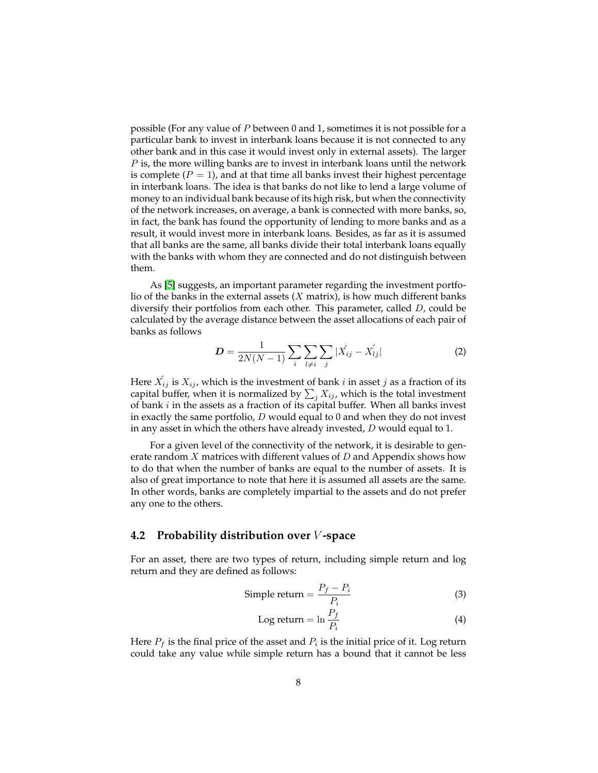possible (For any value of  $P$  between 0 and 1, sometimes it is not possible for a particular bank to invest in interbank loans because it is not connected to any other bank and in this case it would invest only in external assets). The larger  $P$  is, the more willing banks are to invest in interbank loans until the network is complete  $(P = 1)$ , and at that time all banks invest their highest percentage in interbank loans. The idea is that banks do not like to lend a large volume of money to an individual bank because of its high risk, but when the connectivity of the network increases, on average, a bank is connected with more banks, so, in fact, the bank has found the opportunity of lending to more banks and as a result, it would invest more in interbank loans. Besides, as far as it is assumed that all banks are the same, all banks divide their total interbank loans equally with the banks with whom they are connected and do not distinguish between them.

As [\[5\]](#page-12-0) suggests, an important parameter regarding the investment portfolio of the banks in the external assets  $(X \text{ matrix})$ , is how much different banks diversify their portfolios from each other. This parameter, called D, could be calculated by the average distance between the asset allocations of each pair of banks as follows

$$
D = \frac{1}{2N(N-1)} \sum_{i} \sum_{l \neq i} \sum_{j} |X_{ij} - X_{lj}| \tag{2}
$$

Here  $\vec{X_{ij}}$  is  $X_{ij}$ , which is the investment of bank  $i$  in asset  $j$  as a fraction of its capital buffer, when it is normalized by  $\sum_j X_{ij}$ , which is the total investment of bank  $i$  in the assets as a fraction of its capital buffer. When all banks invest in exactly the same portfolio,  $D$  would equal to 0 and when they do not invest in any asset in which the others have already invested,  $D$  would equal to 1.

For a given level of the connectivity of the network, it is desirable to generate random  $X$  matrices with different values of  $D$  and Appendix shows how to do that when the number of banks are equal to the number of assets. It is also of great importance to note that here it is assumed all assets are the same. In other words, banks are completely impartial to the assets and do not prefer any one to the others.

#### <span id="page-7-0"></span>**4.2 Probability distribution over** V **-space**

For an asset, there are two types of return, including simple return and log return and they are defined as follows:

Simple return 
$$
=
$$
  $\frac{P_f - P_i}{P_i}$  (3)

$$
Log return = ln \frac{P_f}{P_i}
$$
\n(4)

Here  $P_f$  is the final price of the asset and  $P_i$  is the initial price of it. Log return could take any value while simple return has a bound that it cannot be less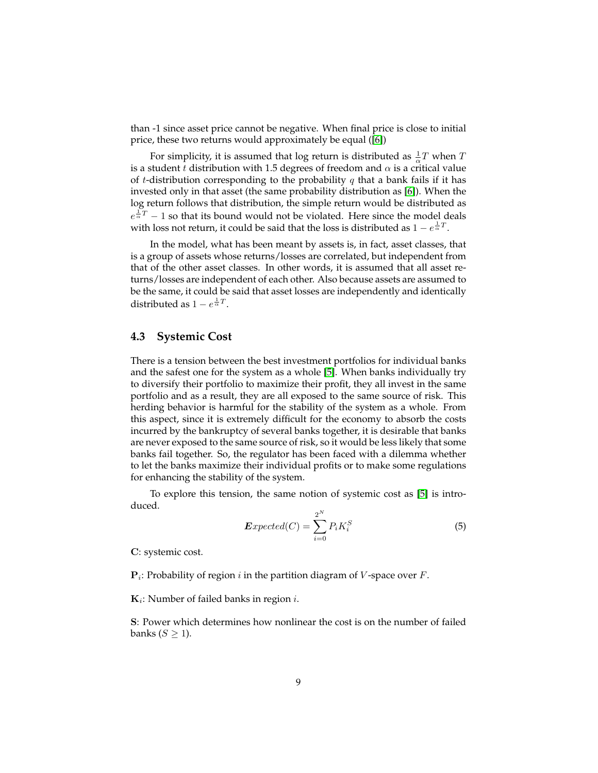than -1 since asset price cannot be negative. When final price is close to initial price, these two returns would approximately be equal ([\[6\]](#page-13-15))

For simplicity, it is assumed that log return is distributed as  $\frac{1}{\alpha}T$  when T is a student t distribution with 1.5 degrees of freedom and  $\alpha$  is a critical value of t-distribution corresponding to the probability q that a bank fails if it has invested only in that asset (the same probability distribution as [\[6\]](#page-13-15)). When the log return follows that distribution, the simple return would be distributed as  $e^{\frac{1}{\alpha}T} - 1$  so that its bound would not be violated. Here since the model deals with loss not return, it could be said that the loss is distributed as  $1-e^{\frac{1}{\alpha}T}.$ 

In the model, what has been meant by assets is, in fact, asset classes, that is a group of assets whose returns/losses are correlated, but independent from that of the other asset classes. In other words, it is assumed that all asset returns/losses are independent of each other. Also because assets are assumed to be the same, it could be said that asset losses are independently and identically distributed as  $1 - e^{\frac{1}{\alpha}T}$ .

#### **4.3 Systemic Cost**

There is a tension between the best investment portfolios for individual banks and the safest one for the system as a whole [\[5\]](#page-12-0). When banks individually try to diversify their portfolio to maximize their profit, they all invest in the same portfolio and as a result, they are all exposed to the same source of risk. This herding behavior is harmful for the stability of the system as a whole. From this aspect, since it is extremely difficult for the economy to absorb the costs incurred by the bankruptcy of several banks together, it is desirable that banks are never exposed to the same source of risk, so it would be less likely that some banks fail together. So, the regulator has been faced with a dilemma whether to let the banks maximize their individual profits or to make some regulations for enhancing the stability of the system.

To explore this tension, the same notion of systemic cost as [\[5\]](#page-12-0) is introduced.

$$
Expected(C) = \sum_{i=0}^{2^N} P_i K_i^S
$$
 (5)

C: systemic cost.

 ${\bf P}_i$ : Probability of region  $i$  in the partition diagram of V-space over  $F$ .

 $\mathbf{K}_i$ : Number of failed banks in region *i*.

S: Power which determines how nonlinear the cost is on the number of failed banks ( $S \geq 1$ ).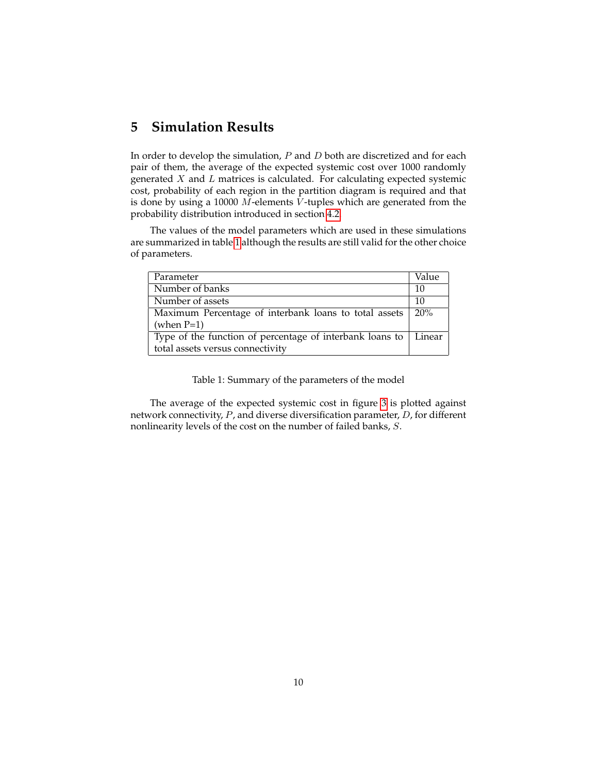### <span id="page-9-0"></span>**5 Simulation Results**

In order to develop the simulation,  $P$  and  $D$  both are discretized and for each pair of them, the average of the expected systemic cost over 1000 randomly generated  $X$  and  $L$  matrices is calculated. For calculating expected systemic cost, probability of each region in the partition diagram is required and that is done by using a 10000  $M$ -elements  $V$ -tuples which are generated from the probability distribution introduced in section [4.2.](#page-7-0)

The values of the model parameters which are used in these simulations are summarized in table [1](#page-9-1) although the results are still valid for the other choice of parameters.

| Parameter                                                | Value  |
|----------------------------------------------------------|--------|
| Number of banks                                          | 10     |
| Number of assets                                         | 10     |
| Maximum Percentage of interbank loans to total assets    | 20%    |
| (when $P=1$ )                                            |        |
| Type of the function of percentage of interbank loans to | Linear |
| total assets versus connectivity                         |        |

#### <span id="page-9-1"></span>Table 1: Summary of the parameters of the model

The average of the expected systemic cost in figure [3](#page-10-0) is plotted against network connectivity, P, and diverse diversification parameter, D, for different nonlinearity levels of the cost on the number of failed banks, S.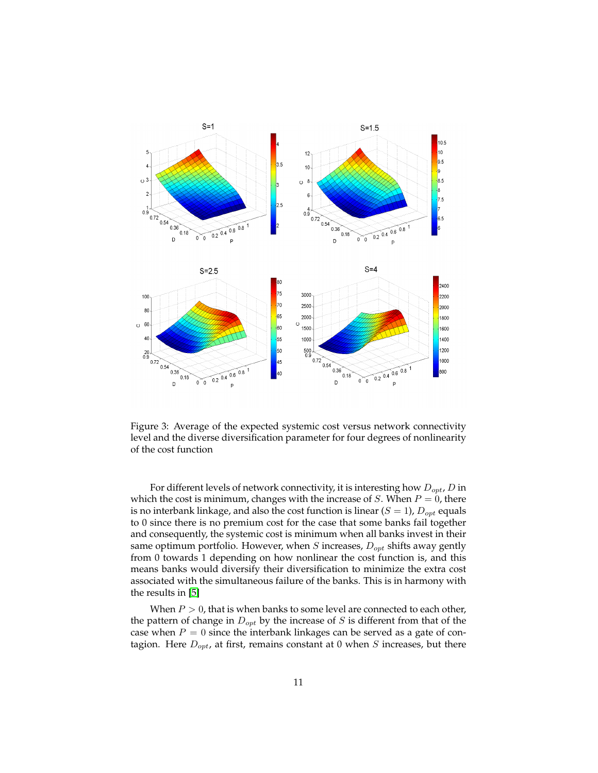

<span id="page-10-0"></span>Figure 3: Average of the expected systemic cost versus network connectivity level and the diverse diversification parameter for four degrees of nonlinearity of the cost function

For different levels of network connectivity, it is interesting how  $D_{opt}$ , D in which the cost is minimum, changes with the increase of  $S$ . When  $P = 0$ , there is no interbank linkage, and also the cost function is linear  $(S = 1)$ ,  $D_{opt}$  equals to 0 since there is no premium cost for the case that some banks fail together and consequently, the systemic cost is minimum when all banks invest in their same optimum portfolio. However, when  $S$  increases,  $D_{opt}$  shifts away gently from 0 towards 1 depending on how nonlinear the cost function is, and this means banks would diversify their diversification to minimize the extra cost associated with the simultaneous failure of the banks. This is in harmony with the results in [\[5\]](#page-12-0)

When  $P > 0$ , that is when banks to some level are connected to each other, the pattern of change in  $D_{opt}$  by the increase of S is different from that of the case when  $P = 0$  since the interbank linkages can be served as a gate of contagion. Here  $D_{opt}$ , at first, remains constant at 0 when S increases, but there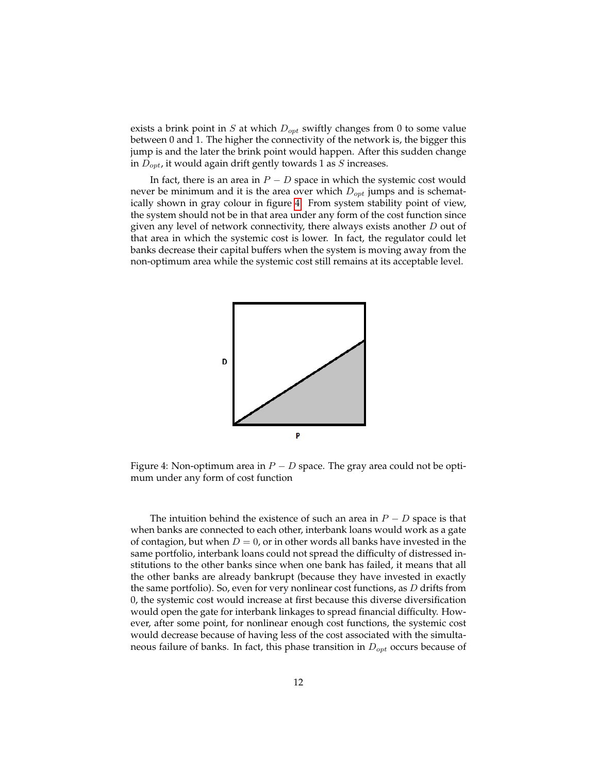exists a brink point in S at which  $D_{opt}$  swiftly changes from 0 to some value between 0 and 1. The higher the connectivity of the network is, the bigger this jump is and the later the brink point would happen. After this sudden change in  $D_{opt}$ , it would again drift gently towards 1 as S increases.

In fact, there is an area in  $P - D$  space in which the systemic cost would never be minimum and it is the area over which  $D_{opt}$  jumps and is schematically shown in gray colour in figure [4.](#page-11-0) From system stability point of view, the system should not be in that area under any form of the cost function since given any level of network connectivity, there always exists another D out of that area in which the systemic cost is lower. In fact, the regulator could let banks decrease their capital buffers when the system is moving away from the non-optimum area while the systemic cost still remains at its acceptable level.



<span id="page-11-0"></span>Figure 4: Non-optimum area in  $P - D$  space. The gray area could not be optimum under any form of cost function

The intuition behind the existence of such an area in  $P - D$  space is that when banks are connected to each other, interbank loans would work as a gate of contagion, but when  $D = 0$ , or in other words all banks have invested in the same portfolio, interbank loans could not spread the difficulty of distressed institutions to the other banks since when one bank has failed, it means that all the other banks are already bankrupt (because they have invested in exactly the same portfolio). So, even for very nonlinear cost functions, as  $D$  drifts from 0, the systemic cost would increase at first because this diverse diversification would open the gate for interbank linkages to spread financial difficulty. However, after some point, for nonlinear enough cost functions, the systemic cost would decrease because of having less of the cost associated with the simultaneous failure of banks. In fact, this phase transition in  $D_{opt}$  occurs because of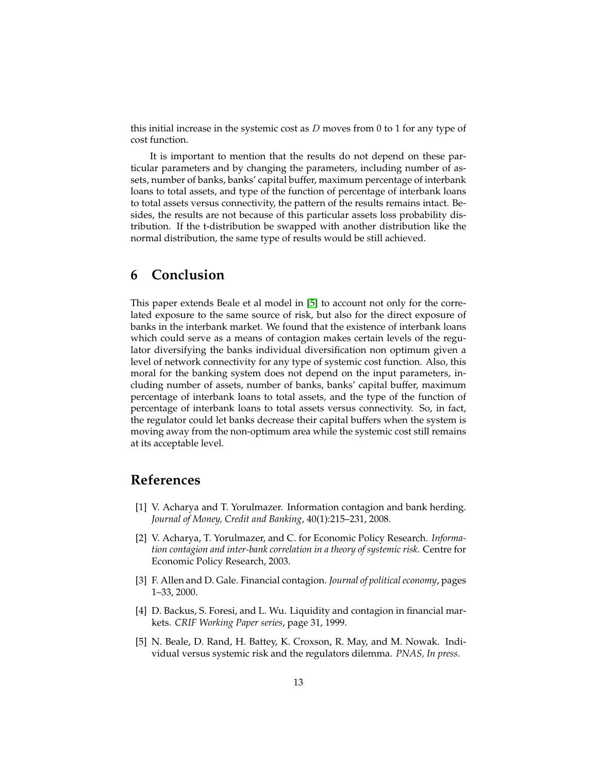this initial increase in the systemic cost as  $D$  moves from 0 to 1 for any type of cost function.

It is important to mention that the results do not depend on these particular parameters and by changing the parameters, including number of assets, number of banks, banks' capital buffer, maximum percentage of interbank loans to total assets, and type of the function of percentage of interbank loans to total assets versus connectivity, the pattern of the results remains intact. Besides, the results are not because of this particular assets loss probability distribution. If the t-distribution be swapped with another distribution like the normal distribution, the same type of results would be still achieved.

### <span id="page-12-5"></span>**6 Conclusion**

This paper extends Beale et al model in [\[5\]](#page-12-0) to account not only for the correlated exposure to the same source of risk, but also for the direct exposure of banks in the interbank market. We found that the existence of interbank loans which could serve as a means of contagion makes certain levels of the regulator diversifying the banks individual diversification non optimum given a level of network connectivity for any type of systemic cost function. Also, this moral for the banking system does not depend on the input parameters, including number of assets, number of banks, banks' capital buffer, maximum percentage of interbank loans to total assets, and the type of the function of percentage of interbank loans to total assets versus connectivity. So, in fact, the regulator could let banks decrease their capital buffers when the system is moving away from the non-optimum area while the systemic cost still remains at its acceptable level.

### **References**

- <span id="page-12-3"></span>[1] V. Acharya and T. Yorulmazer. Information contagion and bank herding. *Journal of Money, Credit and Banking*, 40(1):215–231, 2008.
- <span id="page-12-2"></span>[2] V. Acharya, T. Yorulmazer, and C. for Economic Policy Research. *Information contagion and inter-bank correlation in a theory of systemic risk*. Centre for Economic Policy Research, 2003.
- <span id="page-12-1"></span>[3] F. Allen and D. Gale. Financial contagion. *Journal of political economy*, pages 1–33, 2000.
- <span id="page-12-4"></span>[4] D. Backus, S. Foresi, and L. Wu. Liquidity and contagion in financial markets. *CRIF Working Paper series*, page 31, 1999.
- <span id="page-12-0"></span>[5] N. Beale, D. Rand, H. Battey, K. Croxson, R. May, and M. Nowak. Individual versus systemic risk and the regulators dilemma. *PNAS, In press*.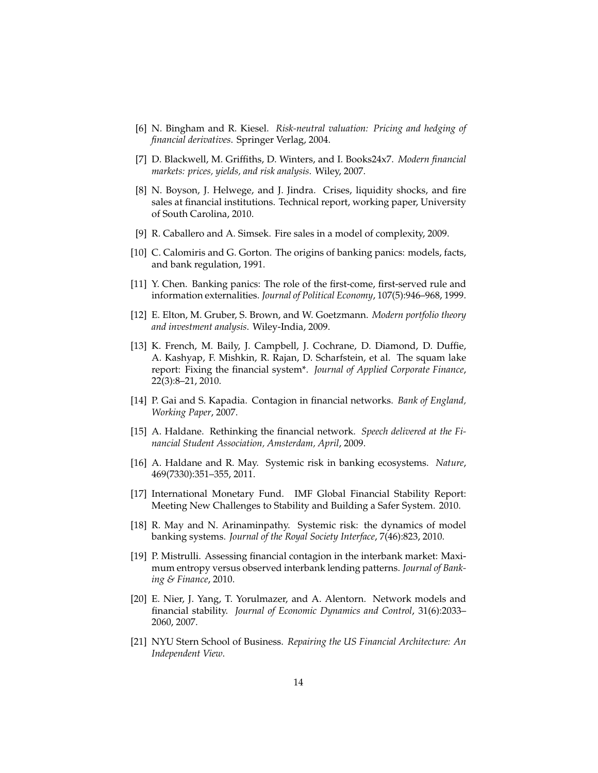- <span id="page-13-15"></span>[6] N. Bingham and R. Kiesel. *Risk-neutral valuation: Pricing and hedging of financial derivatives*. Springer Verlag, 2004.
- <span id="page-13-13"></span>[7] D. Blackwell, M. Griffiths, D. Winters, and I. Books24x7. *Modern financial markets: prices, yields, and risk analysis*. Wiley, 2007.
- <span id="page-13-10"></span>[8] N. Boyson, J. Helwege, and J. Jindra. Crises, liquidity shocks, and fire sales at financial institutions. Technical report, working paper, University of South Carolina, 2010.
- <span id="page-13-9"></span>[9] R. Caballero and A. Simsek. Fire sales in a model of complexity, 2009.
- <span id="page-13-11"></span>[10] C. Calomiris and G. Gorton. The origins of banking panics: models, facts, and bank regulation, 1991.
- <span id="page-13-12"></span>[11] Y. Chen. Banking panics: The role of the first-come, first-served rule and information externalities. *Journal of Political Economy*, 107(5):946–968, 1999.
- <span id="page-13-5"></span>[12] E. Elton, M. Gruber, S. Brown, and W. Goetzmann. *Modern portfolio theory and investment analysis*. Wiley-India, 2009.
- <span id="page-13-1"></span>[13] K. French, M. Baily, J. Campbell, J. Cochrane, D. Diamond, D. Duffie, A. Kashyap, F. Mishkin, R. Rajan, D. Scharfstein, et al. The squam lake report: Fixing the financial system\*. *Journal of Applied Corporate Finance*, 22(3):8–21, 2010.
- <span id="page-13-8"></span>[14] P. Gai and S. Kapadia. Contagion in financial networks. *Bank of England, Working Paper*, 2007.
- <span id="page-13-0"></span>[15] A. Haldane. Rethinking the financial network. *Speech delivered at the Financial Student Association, Amsterdam, April*, 2009.
- <span id="page-13-14"></span>[16] A. Haldane and R. May. Systemic risk in banking ecosystems. *Nature*, 469(7330):351–355, 2011.
- <span id="page-13-3"></span>[17] International Monetary Fund. IMF Global Financial Stability Report: Meeting New Challenges to Stability and Building a Safer System. 2010.
- <span id="page-13-6"></span>[18] R. May and N. Arinaminpathy. Systemic risk: the dynamics of model banking systems. *Journal of the Royal Society Interface*, 7(46):823, 2010.
- <span id="page-13-7"></span>[19] P. Mistrulli. Assessing financial contagion in the interbank market: Maximum entropy versus observed interbank lending patterns. *Journal of Banking & Finance*, 2010.
- <span id="page-13-4"></span>[20] E. Nier, J. Yang, T. Yorulmazer, and A. Alentorn. Network models and financial stability. *Journal of Economic Dynamics and Control*, 31(6):2033– 2060, 2007.
- <span id="page-13-2"></span>[21] NYU Stern School of Business. *Repairing the US Financial Architecture: An Independent View*.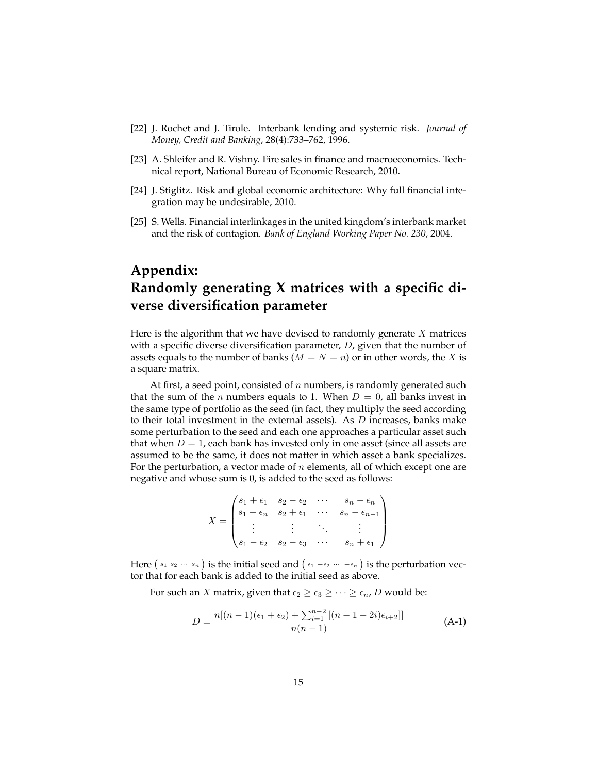- <span id="page-14-0"></span>[22] J. Rochet and J. Tirole. Interbank lending and systemic risk. *Journal of Money, Credit and Banking*, 28(4):733–762, 1996.
- <span id="page-14-3"></span>[23] A. Shleifer and R. Vishny. Fire sales in finance and macroeconomics. Technical report, National Bureau of Economic Research, 2010.
- <span id="page-14-1"></span>[24] J. Stiglitz. Risk and global economic architecture: Why full financial integration may be undesirable, 2010.
- <span id="page-14-2"></span>[25] S. Wells. Financial interlinkages in the united kingdom's interbank market and the risk of contagion. *Bank of England Working Paper No. 230*, 2004.

## **Appendix: Randomly generating X matrices with a specific diverse diversification parameter**

Here is the algorithm that we have devised to randomly generate  $X$  matrices with a specific diverse diversification parameter,  $D$ , given that the number of assets equals to the number of banks ( $M = N = n$ ) or in other words, the X is a square matrix.

At first, a seed point, consisted of  $n$  numbers, is randomly generated such that the sum of the *n* numbers equals to 1. When  $D = 0$ , all banks invest in the same type of portfolio as the seed (in fact, they multiply the seed according to their total investment in the external assets). As  $D$  increases, banks make some perturbation to the seed and each one approaches a particular asset such that when  $D = 1$ , each bank has invested only in one asset (since all assets are assumed to be the same, it does not matter in which asset a bank specializes. For the perturbation, a vector made of  $n$  elements, all of which except one are negative and whose sum is 0, is added to the seed as follows:

$$
X = \begin{pmatrix} s_1 + \epsilon_1 & s_2 - \epsilon_2 & \cdots & s_n - \epsilon_n \\ s_1 - \epsilon_n & s_2 + \epsilon_1 & \cdots & s_n - \epsilon_{n-1} \\ \vdots & \vdots & \ddots & \vdots \\ s_1 - \epsilon_2 & s_2 - \epsilon_3 & \cdots & s_n + \epsilon_1 \end{pmatrix}
$$

Here  $(s_1 \ s_2 \ \cdots \ s_n)$  is the initial seed and  $(\epsilon_1 - \epsilon_2 \ \cdots \ - \epsilon_n)$  is the perturbation vector that for each bank is added to the initial seed as above.

For such an *X* matrix, given that  $\epsilon_2 \geq \epsilon_3 \geq \cdots \geq \epsilon_n$ , *D* would be:

<span id="page-14-4"></span>
$$
D = \frac{n[(n-1)(\epsilon_1 + \epsilon_2) + \sum_{i=1}^{n-2} [(n-1-2i)\epsilon_{i+2}]]}{n(n-1)}
$$
(A-1)